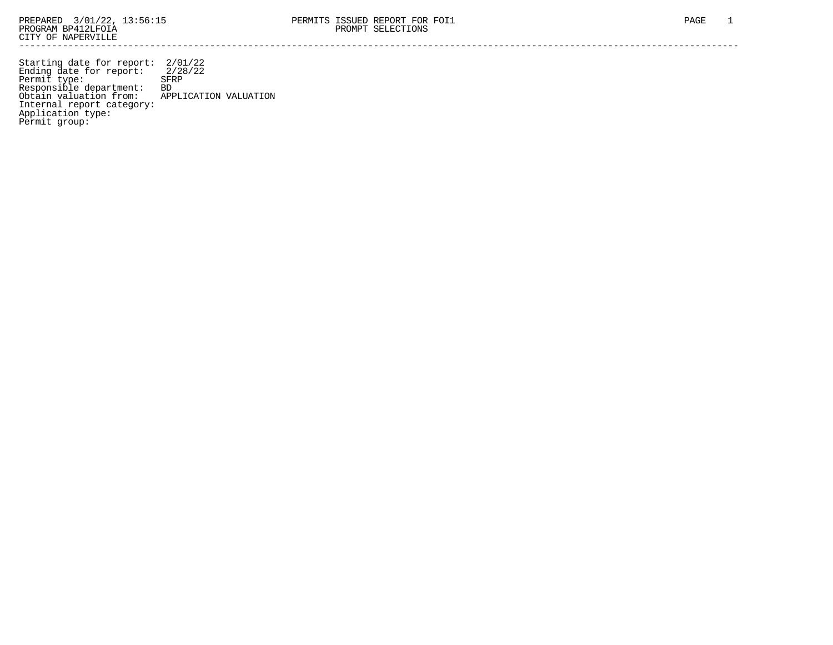Starting date for report: 2/01/22 Ending date for report: 2/28/22 Permit type: SFRP Responsible department: BD Obtain valuation from: APPLICATION VALUATION Internal report category: Application type: Permit group: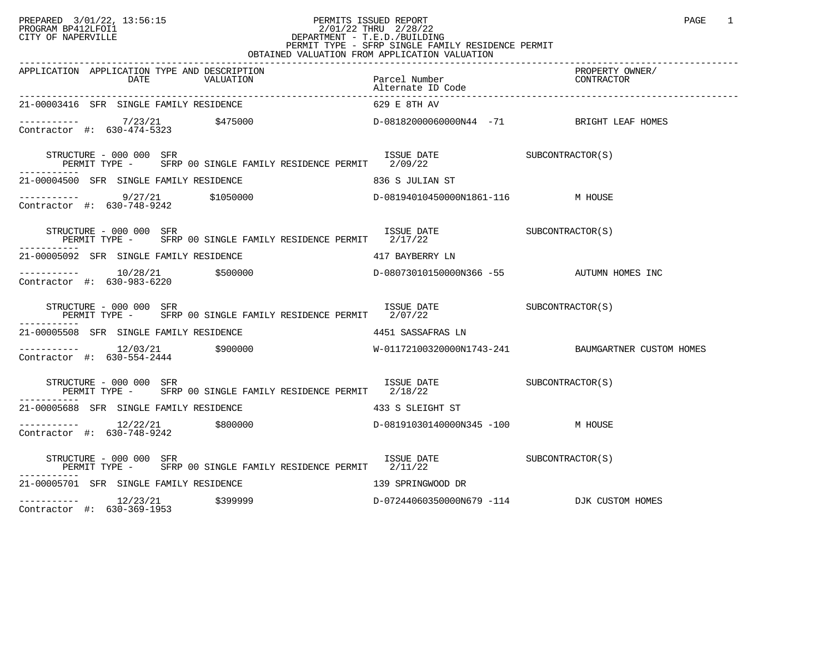## PREPARED 3/01/22, 13:56:15 PERMITS ISSUED REPORT PAGE 1 PROGRAM BP412LFOI1 2/01/22 THRU 2/28/22 CITY OF NAPERVILLE **Example 20** CITY OF NAPERVILLE CITY OF NAPERVILLE<br>
PERMIT TYPE - SFRP SINGLE FAMILY RESIDENCE PERMIT<br>
PERMIT TYPE - SFRP SINGLE FAMILY RESIDENCE PERMIT OBTAINED VALUATION FROM APPLICATION VALUATION

| APPLICATION APPLICATION TYPE AND DESCRIPTION                                                                                                                                                                                                                                                                                          | Parcel Number                                        | PROPERTY OWNER/                                    |
|---------------------------------------------------------------------------------------------------------------------------------------------------------------------------------------------------------------------------------------------------------------------------------------------------------------------------------------|------------------------------------------------------|----------------------------------------------------|
| 21-00003416 SFR SINGLE FAMILY RESIDENCE                                                                                                                                                                                                                                                                                               | 629 E 8TH AV                                         |                                                    |
| ----------- 7/23/21 \$475000<br>Contractor #: 630-474-5323 \$475000<br>Contractor #: 630-474-5323                                                                                                                                                                                                                                     |                                                      |                                                    |
| $\begin{tabular}{lllllllll} \textbf{STRUCTURE} & 000 & 000 & SFR & 1SSUE & DATE \\ \textbf{PERMIT} & 00 & SFRP & 00 & SINGLE FAMILY & RESIDENCE PERMIT & 2/09/22 \\ \end{tabular} \begin{tabular}{lllllllll} \textbf{SUS} & 000 & SFRP & 00 & SINGLE FAMILY & RESIDENCE PERMIT & 2/09/22 \\ \end{tabular}$<br>STRUCTURE - 000 000 SFR |                                                      |                                                    |
| 21-00004500 SFR SINGLE FAMILY RESIDENCE<br>836 S JULIAN ST                                                                                                                                                                                                                                                                            |                                                      |                                                    |
| ----------- $9/27/21$ \$1050000 $D-08194010450000 \text{ N HOUSE}$ M HOUSE                                                                                                                                                                                                                                                            |                                                      |                                                    |
| STRUCTURE - 000 000 SFR<br>PERMIT TYPE - SFRP 00 SINGLE FAMILY RESIDENCE PERMIT 2/17/22                                                                                                                                                                                                                                               | ISSUE DATE<br>ISSUE DATE<br>CALLACE SUBCONTRACTOR(S) |                                                    |
| 21-00005092 SFR SINGLE FAMILY RESIDENCE THE SERIES WAS MODERN TO A 417 BAYBERRY LN                                                                                                                                                                                                                                                    |                                                      |                                                    |
|                                                                                                                                                                                                                                                                                                                                       | D-08073010150000N366 -55 AUTUMN HOMES INC            |                                                    |
| STRUCTURE - 000 000 SFR<br>PERMIT TYPE - SFRP 00 SINGLE FAMILY RESIDENCE PERMIT 2/07/22                                                                                                                                                                                                                                               | ISSUE DATE SUBCONTRACTOR(S)                          |                                                    |
| 21-00005508 SFR SINGLE FAMILY RESIDENCE                                                                                                                                                                                                                                                                                               | 4451 SASSAFRAS LN                                    |                                                    |
| $---------$ 12/03/21 \$900000<br>Contractor #: 630-554-2444                                                                                                                                                                                                                                                                           |                                                      | W-01172100320000N1743-241 BAUMGARTNER CUSTOM HOMES |
| ISSUE DATE SUBCONTRACTOR(S)<br>STRUCTURE - 000 000 SFR<br>PERMIT TYPE - SFRP 00 SINGLE FAMILY RESIDENCE PERMIT 2/18/22                                                                                                                                                                                                                |                                                      |                                                    |
| 21-00005688 SFR SINGLE FAMILY RESIDENCE THE SERIES RESIDENCE AS SAFT ST                                                                                                                                                                                                                                                               |                                                      |                                                    |
| $\frac{12}{22/21}$ \$800000<br>Contractor #: 620,748,9242<br>Contractor #: 630-748-9242                                                                                                                                                                                                                                               | D-08191030140000N345 -100 M HOUSE                    |                                                    |
| STRUCTURE - 000 000 SFR<br>PERMIT TYPE - SFRP 00 SINGLE FAMILY RESIDENCE PERMIT 2/11/22                                                                                                                                                                                                                                               | ISSUE DATE SUBCONTRACTOR(S)                          |                                                    |
| 21-00005701 SFR SINGLE FAMILY RESIDENCE                                                                                                                                                                                                                                                                                               | 139 SPRINGWOOD DR                                    |                                                    |
| $--------- 12/23/21$ \$399999<br>$\sim$ $\sim$<br>$\sim$ 11 $\sim$ 22                                                                                                                                                                                                                                                                 | D-07244060350000N679 -114 DJK CUSTOM HOMES           |                                                    |

Contractor #: 630-369-1953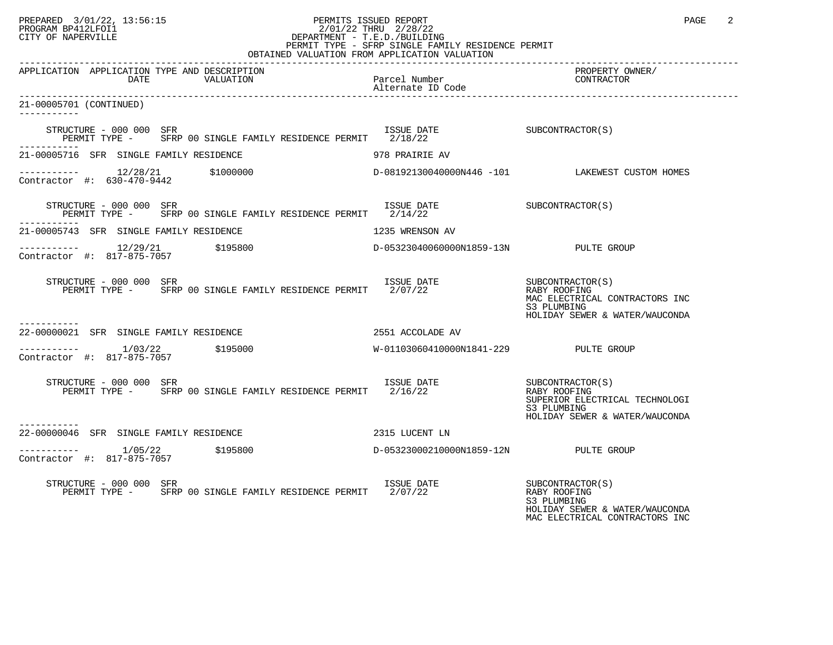## PREPARED 3/01/22, 13:56:15 PERMITS ISSUED REPORT PERORT PAGE 2<br>PROGRAM BP412LFOI1 PROGRAM BP412LFOI1 2/01/22 THRU 2/28/22 CITY OF NAPERVILLE **Example 20** CITY OF NAPERVILLE PERMIT TYPE - SFRP SINGLE FAMILY RESIDENCE PERMIT

| OBTAINED VALUATION FROM APPLICATION VALUATION                                                                                                                                                         |                                       |                                                                                                                     |  |  |
|-------------------------------------------------------------------------------------------------------------------------------------------------------------------------------------------------------|---------------------------------------|---------------------------------------------------------------------------------------------------------------------|--|--|
| APPLICATION APPLICATION TYPE AND DESCRIPTION<br>DATE<br>VALUATION                                                                                                                                     | Parcel Number<br>Alternate ID Code    | PROPERTY OWNER/<br>CONTRACTOR                                                                                       |  |  |
| 21-00005701 (CONTINUED)<br>------------                                                                                                                                                               |                                       |                                                                                                                     |  |  |
| $\begin{array}{cccc}\n \text{STRUCTURE} & - & 000 & 000 & \text{SFR} \\  \text{SINISTURE} & - & 000 & 000 & \text{SFR}\n \end{array}$<br>PERMIT TYPE - SFRP 00 SINGLE FAMILY RESIDENCE PERMIT 2/18/22 |                                       |                                                                                                                     |  |  |
| 21-00005716 SFR SINGLE FAMILY RESIDENCE                                                                                                                                                               | 978 PRAIRIE AV                        |                                                                                                                     |  |  |
| $\frac{12}{28/21}$ \$1000000<br>ontractor #: 630-470-9442 \$1000000<br>Contractor #: 630-470-9442                                                                                                     |                                       | D-08192130040000N446 -101 LAKEWEST CUSTOM HOMES                                                                     |  |  |
| ISSUE DATE SUBCONTRACTOR(S)<br>STRUCTURE - 000 000 SFR<br>PERMIT TYPE - SFRP 00 SINGLE FAMILY RESIDENCE PERMIT 2/14/22                                                                                |                                       |                                                                                                                     |  |  |
| 21-00005743 SFR SINGLE FAMILY RESIDENCE                                                                                                                                                               | 1235 WRENSON AV                       |                                                                                                                     |  |  |
|                                                                                                                                                                                                       |                                       |                                                                                                                     |  |  |
| RUCTURE – 000 000 SFR<br>PERMIT TYPE – SFRP 00 SINGLE FAMILY RESIDENCE PERMIT 2/07/22 – RABY ROOFING<br>STRUCTURE - 000 000 SFR                                                                       |                                       | MAC ELECTRICAL CONTRACTORS INC<br>S3 PLUMBING<br>HOLIDAY SEWER & WATER/WAUCONDA                                     |  |  |
| -----------<br>22-00000021 SFR SINGLE FAMILY RESIDENCE                                                                                                                                                | 2551 ACCOLADE AV                      |                                                                                                                     |  |  |
| $--------- 1/03/22$ \$195000<br>Contractor #: 817-875-7057                                                                                                                                            | W-01103060410000N1841-229 PULTE GROUP |                                                                                                                     |  |  |
| EXAMPLE - UNIVERSITY OF STREE STREE ENTEREMENT SERVIT TYPE - STREE OO SINGLE FAMILY RESIDENCE PERMIT 2/16/22<br>STRUCTURE - 000 000 SFR<br>----------                                                 |                                       | SUBCONTRACTOR(S)<br>RABY ROOFING<br>SUPERIOR ELECTRICAL TECHNOLOGI<br>S3 PLUMBING<br>HOLIDAY SEWER & WATER/WAUCONDA |  |  |
| 22-00000046 SFR SINGLE FAMILY RESIDENCE                                                                                                                                                               | 2315 LUCENT LN                        |                                                                                                                     |  |  |
| $--------$ 1/05/22 \$195800<br>Contractor #: 817-875-7057                                                                                                                                             | D-05323000210000N1859-12N PULTE GROUP |                                                                                                                     |  |  |
| STRUCTURE - 000 000 SFR<br>PERMIT TYPE - SFRP 00 SINGLE FAMILY RESIDENCE PERMIT 2/07/22                                                                                                               | ISSUE DATE                            | SUBCONTRACTOR(S)<br>RABY ROOFING<br>S3 PLUMBING<br>HOLIDAY SEWER & WATER/WAUCONDA<br>MAC ELECTRICAL CONTRACTORS INC |  |  |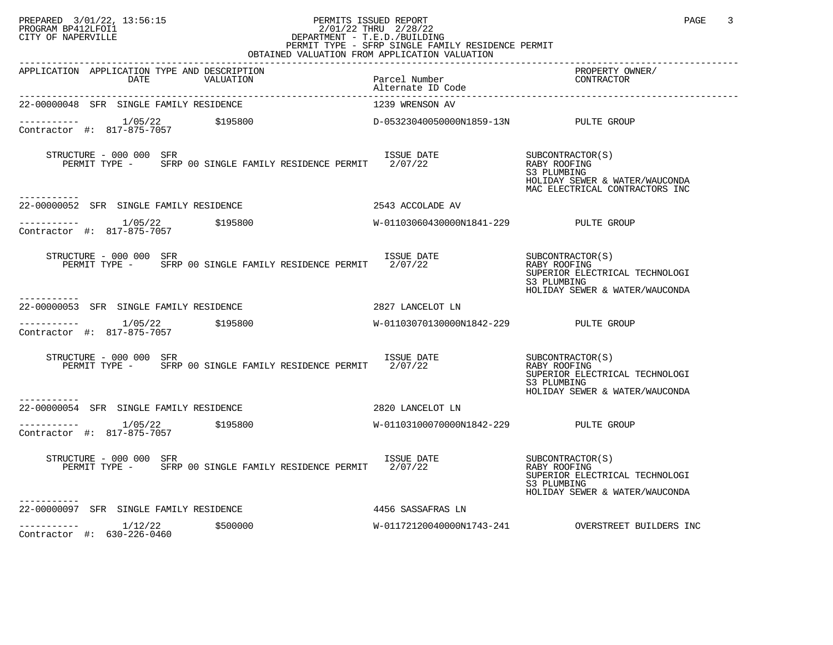## PREPARED 3/01/22, 13:56:15 PERMITS ISSUED REPORT PAGE 3 PROGRAM BP412LFOI1 2/01/22 THRU 2/28/22 CITY OF NAPERVILLE **Example 20** CITY OF NAPERVILLE PERMIT TYPE - SFRP SINGLE FAMILY RESIDENCE PERMIT

| OBTAINED VALUATION FROM APPLICATION VALUATION                                                                                   |                                       |                                                                                                                      |  |  |
|---------------------------------------------------------------------------------------------------------------------------------|---------------------------------------|----------------------------------------------------------------------------------------------------------------------|--|--|
| APPLICATION APPLICATION TYPE AND DESCRIPTION<br>VALUATION<br><b>DATE</b>                                                        | Parcel Number<br>Alternate ID Code    | PROPERTY OWNER/<br>CONTRACTOR                                                                                        |  |  |
| 22-00000048 SFR SINGLE FAMILY RESIDENCE                                                                                         | 1239 WRENSON AV                       |                                                                                                                      |  |  |
| ----------- 1/05/22 \$195800<br>Contractor #: 817-875-7057 \$195800                                                             | D-05323040050000N1859-13N PULTE GROUP |                                                                                                                      |  |  |
| STRUCTURE - 000 000 SFR<br>RUCTURE - 000 000 SFR<br>PERMIT TYPE - SFRP 00 SINGLE FAMILY RESIDENCE PERMIT 2/07/22<br>----------- |                                       | SUBCONTRACTOR(S)<br>RABY ROOFING<br>S3 PLUMBING<br>HOLIDAY SEWER & WATER/WAUCONDA<br>MAC ELECTRICAL CONTRACTORS INC  |  |  |
| 22-00000052 SFR SINGLE FAMILY RESIDENCE                                                                                         | 2543 ACCOLADE AV                      |                                                                                                                      |  |  |
| $1/05/22$<br>mtreater #: 017.975.7057<br>Contractor #: 817-875-7057                                                             |                                       |                                                                                                                      |  |  |
| STRUCTURE - 000 000 SFR<br>PERMIT TYPE - SFRP 00 SINGLE FAMILY RESIDENCE PERMIT 2/07/22                                         | ISSUE DATE                            | SUBCONTRACTOR(S)<br>RABY ROOFING<br>SUPERIOR ELECTRICAL TECHNOLOGI<br>S3 PLUMBING<br>HOLIDAY SEWER & WATER/WAUCONDA  |  |  |
| 22-00000053 SFR SINGLE FAMILY RESIDENCE                                                                                         | 2827 LANCELOT LN                      |                                                                                                                      |  |  |
| $------ 1/05/22$ \$195800<br>Contractor #: 817-875-7057                                                                         | W-01103070130000N1842-229 PULTE GROUP |                                                                                                                      |  |  |
| STRUCTURE - 000 000 SFR<br>PERMIT TYPE - SFRP 00 SINGLE FAMILY RESIDENCE PERMIT 2/07/22                                         | ISSUE DATE                            | SUBCONTRACTOR (S)<br>RABY ROOFING<br>SUPERIOR ELECTRICAL TECHNOLOGI<br>S3 PLUMBING<br>HOLIDAY SEWER & WATER/WAUCONDA |  |  |
| 22-00000054 SFR SINGLE FAMILY RESIDENCE                                                                                         | 2820 LANCELOT LN                      |                                                                                                                      |  |  |
| ----------- 1/05/22 \$195800<br>Contractor #: 817-875-7057                                                                      | W-01103100070000N1842-229 PULTE GROUP |                                                                                                                      |  |  |
| STRUCTURE - 000 000 SFR<br>PERMIT TYPE - SFRP 00 SINGLE FAMILY RESIDENCE PERMIT 2/07/22                                         | ISSUE DATE                            | SUBCONTRACTOR(S)<br>RABY ROOFING<br>SUPERIOR ELECTRICAL TECHNOLOGI<br>S3 PLUMBING<br>HOLIDAY SEWER & WATER/WAUCONDA  |  |  |
| -----------<br>22-00000097 SFR SINGLE FAMILY RESIDENCE                                                                          | 4456 SASSAFRAS LN                     |                                                                                                                      |  |  |
| $------- 1/12/22$<br>\$500000<br>Contractor #: 630-226-0460                                                                     | W-01172120040000N1743-241             | OVERSTREET BUILDERS INC                                                                                              |  |  |